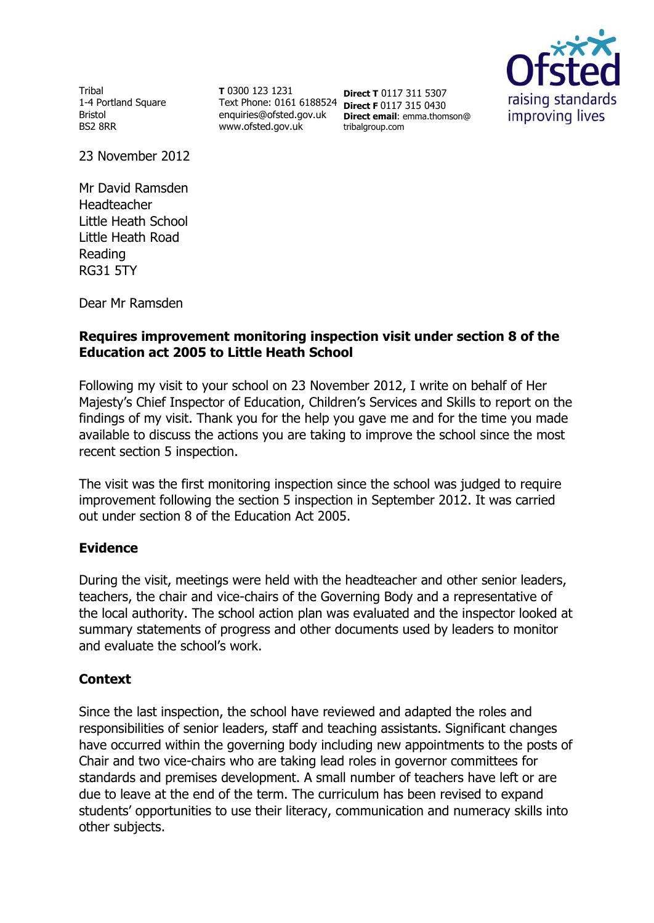Tribal 1-4 Portland Square Bristol BS2 8RR

**T** 0300 123 1231 Text Phone: 0161 6188524 **Direct F** 0117 315 0430 enquiries@ofsted.gov.uk www.ofsted.gov.uk

**Direct T** 0117 311 5307 **Direct email**: emma.thomson@ tribalgroup.com



23 November 2012

Mr David Ramsden Headteacher Little Heath School Little Heath Road Reading RG31 5TY

Dear Mr Ramsden

# **Requires improvement monitoring inspection visit under section 8 of the Education act 2005 to Little Heath School**

Following my visit to your school on 23 November 2012, I write on behalf of Her Majesty's Chief Inspector of Education, Children's Services and Skills to report on the findings of my visit. Thank you for the help you gave me and for the time you made available to discuss the actions you are taking to improve the school since the most recent section 5 inspection.

The visit was the first monitoring inspection since the school was judged to require improvement following the section 5 inspection in September 2012. It was carried out under section 8 of the Education Act 2005.

### **Evidence**

During the visit, meetings were held with the headteacher and other senior leaders, teachers, the chair and vice-chairs of the Governing Body and a representative of the local authority. The school action plan was evaluated and the inspector looked at summary statements of progress and other documents used by leaders to monitor and evaluate the school's work.

### **Context**

Since the last inspection, the school have reviewed and adapted the roles and responsibilities of senior leaders, staff and teaching assistants. Significant changes have occurred within the governing body including new appointments to the posts of Chair and two vice-chairs who are taking lead roles in governor committees for standards and premises development. A small number of teachers have left or are due to leave at the end of the term. The curriculum has been revised to expand students' opportunities to use their literacy, communication and numeracy skills into other subjects.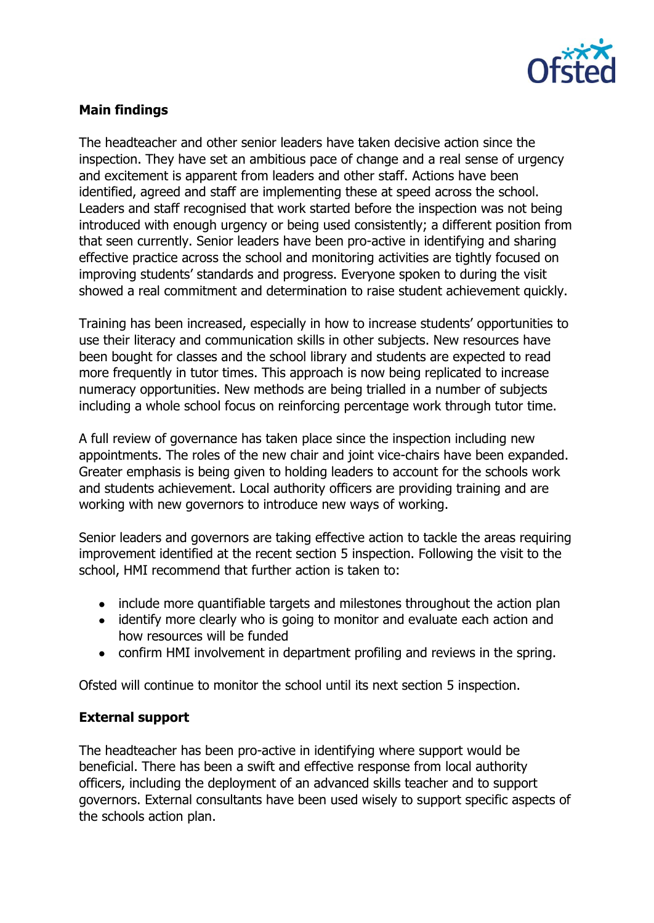

# **Main findings**

The headteacher and other senior leaders have taken decisive action since the inspection. They have set an ambitious pace of change and a real sense of urgency and excitement is apparent from leaders and other staff. Actions have been identified, agreed and staff are implementing these at speed across the school. Leaders and staff recognised that work started before the inspection was not being introduced with enough urgency or being used consistently; a different position from that seen currently. Senior leaders have been pro-active in identifying and sharing effective practice across the school and monitoring activities are tightly focused on improving students' standards and progress. Everyone spoken to during the visit showed a real commitment and determination to raise student achievement quickly.

Training has been increased, especially in how to increase students' opportunities to use their literacy and communication skills in other subjects. New resources have been bought for classes and the school library and students are expected to read more frequently in tutor times. This approach is now being replicated to increase numeracy opportunities. New methods are being trialled in a number of subjects including a whole school focus on reinforcing percentage work through tutor time.

A full review of governance has taken place since the inspection including new appointments. The roles of the new chair and joint vice-chairs have been expanded. Greater emphasis is being given to holding leaders to account for the schools work and students achievement. Local authority officers are providing training and are working with new governors to introduce new ways of working.

Senior leaders and governors are taking effective action to tackle the areas requiring improvement identified at the recent section 5 inspection. Following the visit to the school, HMI recommend that further action is taken to:

- include more quantifiable targets and milestones throughout the action plan
- identify more clearly who is going to monitor and evaluate each action and how resources will be funded
- confirm HMI involvement in department profiling and reviews in the spring.

Ofsted will continue to monitor the school until its next section 5 inspection.

#### **External support**

The headteacher has been pro-active in identifying where support would be beneficial. There has been a swift and effective response from local authority officers, including the deployment of an advanced skills teacher and to support governors. External consultants have been used wisely to support specific aspects of the schools action plan.